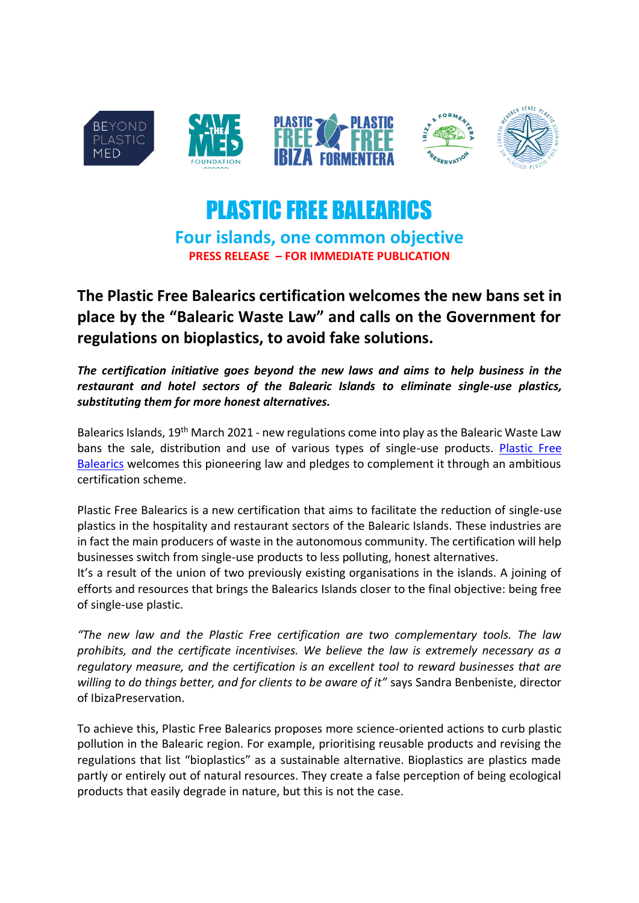

# PLASTIC FREE BALEARICS

**Four islands, one common objective PRESS RELEASE – FOR IMMEDIATE PUBLICATION**

**The Plastic Free Balearics certification welcomes the new bans set in place by the "Balearic Waste Law" and calls on the Government for regulations on bioplastics, to avoid fake solutions.**

*The certification initiative goes beyond the new laws and aims to help business in the restaurant and hotel sectors of the Balearic Islands to eliminate single-use plastics, substituting them for more honest alternatives.*

Balearics Islands,  $19<sup>th</sup>$  March 2021 - new regulations come into play as the Balearic Waste Law bans the sale, distribution and use of various types of single-use products. Plastic Free [Balearics](https://www.plasticfreebalearics.org/) welcomes this pioneering law and pledges to complement it through an ambitious certification scheme.

Plastic Free Balearics is a new certification that aims to facilitate the reduction of single-use plastics in the hospitality and restaurant sectors of the Balearic Islands. These industries are in fact the main producers of waste in the autonomous community. The certification will help businesses switch from single-use products to less polluting, honest alternatives.

It's a result of the union of two previously existing organisations in the islands. A joining of efforts and resources that brings the Balearics Islands closer to the final objective: being free of single-use plastic.

*"The new law and the Plastic Free certification are two complementary tools. The law prohibits, and the certificate incentivises. We believe the law is extremely necessary as a regulatory measure, and the certification is an excellent tool to reward businesses that are willing to do things better, and for clients to be aware of it"* says Sandra Benbeniste, director of IbizaPreservation.

To achieve this, Plastic Free Balearics proposes more science-oriented actions to curb plastic pollution in the Balearic region. For example, prioritising reusable products and revising the regulations that list "bioplastics" as a sustainable alternative. Bioplastics are plastics made partly or entirely out of natural resources. They create a false perception of being ecological products that easily degrade in nature, but this is not the case.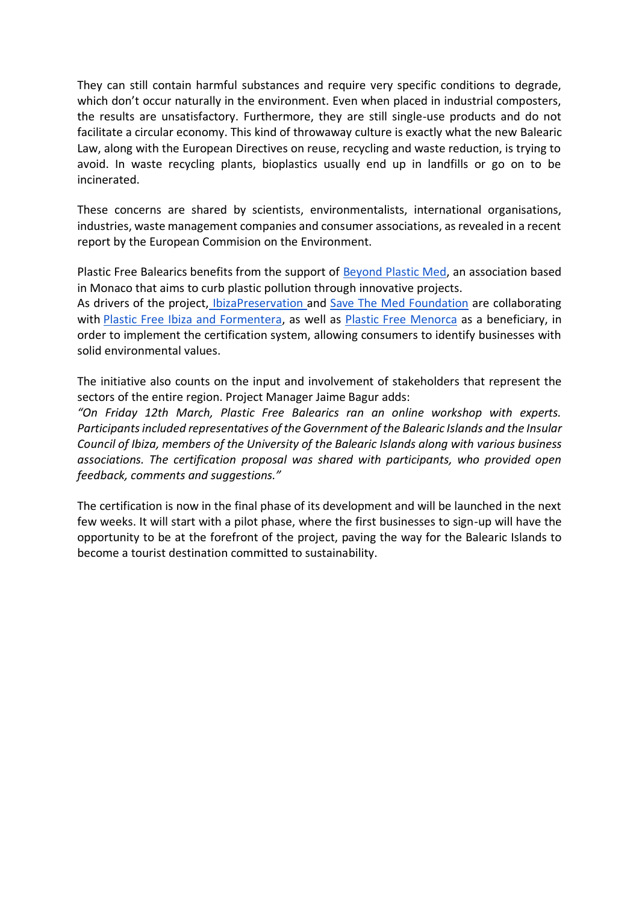They can still contain harmful substances and require very specific conditions to degrade, which don't occur naturally in the environment. Even when placed in industrial composters, the results are unsatisfactory. Furthermore, they are still single-use products and do not facilitate a circular economy. This kind of throwaway culture is exactly what the new Balearic Law, along with the European Directives on reuse, recycling and waste reduction, is trying to avoid. In waste recycling plants, bioplastics usually end up in landfills or go on to be incinerated.

These concerns are shared by scientists, environmentalists, international organisations, industries, waste management companies and consumer associations, as revealed in a recent report by the European Commision on the Environment.

Plastic Free Balearics benefits from the support of **Beyond Plastic Med**, an association based in Monaco that aims to curb plastic pollution through innovative projects.

As drivers of the project, [IbizaPreservation a](https://ibizapreservation.org/)nd [Save The Med Foundation](https://www.savethemed.org/en/) are collaborating with [Plastic Free Ibiza and Formentera,](https://plasticfree.es/) as well as [Plastic Free Menorca](https://www.plasticfreemenorca.org/en/home) as a beneficiary, in order to implement the certification system, allowing consumers to identify businesses with solid environmental values.

The initiative also counts on the input and involvement of stakeholders that represent the sectors of the entire region. Project Manager Jaime Bagur adds:

*"On Friday 12th March, Plastic Free Balearics ran an online workshop with experts. Participants included representatives of the Government of the Balearic Islands and the Insular Council of Ibiza, members of the University of the Balearic Islands along with various business associations. The certification proposal was shared with participants, who provided open feedback, comments and suggestions."*

The certification is now in the final phase of its development and will be launched in the next few weeks. It will start with a pilot phase, where the first businesses to sign-up will have the opportunity to be at the forefront of the project, paving the way for the Balearic Islands to become a tourist destination committed to sustainability.